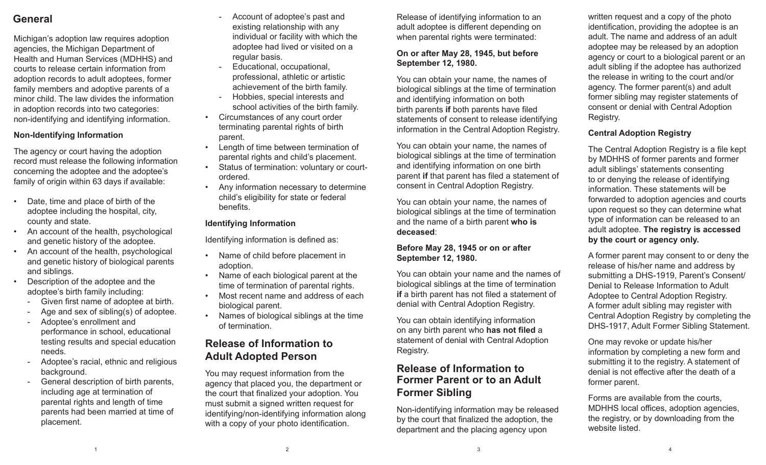# **General**

Michigan's adoption law requires adoption agencies, the Michigan Department of Health and Human Services (MDHHS) and courts to release certain information from adoption records to adult adoptees, former family members and adoptive parents of a minor child. The law divides the information in adoption records into two categories: non-identifying and identifying information.

### **Non-Identifying Information**

The agency or court having the adoption record must release the following information concerning the adoptee and the adoptee's family of origin within 63 days if available:

- Date, time and place of birth of the adoptee including the hospital, city, county and state.
- An account of the health, psychological and genetic history of the adoptee.
- An account of the health, psychological and genetic history of biological parents and siblings.
- Description of the adoptee and the adoptee's birth family including:
	- Given first name of adoptee at birth.
	- Age and sex of sibling(s) of adoptee.
	- Adoptee's enrollment and performance in school, educational testing results and special education needs.
	- Adoptee's racial, ethnic and religious background.
	- General description of birth parents, including age at termination of parental rights and length of time parents had been married at time of placement.
- Account of adoptee's past and existing relationship with any individual or facility with which the adoptee had lived or visited on a regular basis.
- Educational, occupational, professional, athletic or artistic achievement of the birth family.
- Hobbies, special interests and school activities of the birth family.
- Circumstances of any court order terminating parental rights of birth parent.
- Length of time between termination of parental rights and child's placement.
- Status of termination: voluntary or courtordered.
- Any information necessary to determine child's eligibility for state or federal benefits.

#### **Identifying Information**

Identifying information is defined as:

- Name of child before placement in adoption.
- Name of each biological parent at the time of termination of parental rights.
- Most recent name and address of each biological parent.
- Names of biological siblings at the time of termination.

## **Release of Information to Adult Adopted Person**

You may request information from the agency that placed you, the department or the court that finalized your adoption. You must submit a signed written request for identifying/non-identifying information along with a copy of your photo identification.

Release of identifying information to an adult adoptee is different depending on when parental rights were terminated:

#### **On or after May 28, 1945, but before September 12, 1980.**

You can obtain your name, the names of biological siblings at the time of termination and identifying information on both birth parents **if** both parents have filed statements of consent to release identifying information in the Central Adoption Registry.

You can obtain your name, the names of biological siblings at the time of termination and identifying information on one birth parent **if** that parent has filed a statement of consent in Central Adoption Registry.

You can obtain your name, the names of biological siblings at the time of termination and the name of a birth parent **who is deceased**:

#### **Before May 28, 1945 or on or after September 12, 1980.**

You can obtain your name and the names of biological siblings at the time of termination **if** a birth parent has not filed a statement of denial with Central Adoption Registry.

You can obtain identifying information on any birth parent who **has not filed** a statement of denial with Central Adoption Registry.

# **Release of Information to Former Parent or to an Adult Former Sibling**

Non-identifying information may be released by the court that finalized the adoption, the department and the placing agency upon

written request and a copy of the photo identification, providing the adoptee is an adult. The name and address of an adult adoptee may be released by an adoption agency or court to a biological parent or an adult sibling if the adoptee has authorized the release in writing to the court and/or agency. The former parent(s) and adult former sibling may register statements of consent or denial with Central Adoption Registry.

### **Central Adoption Registry**

The Central Adoption Registry is a file kept by MDHHS of former parents and former adult siblings' statements consenting to or denying the release of identifying information. These statements will be forwarded to adoption agencies and courts upon request so they can determine what type of information can be released to an adult adoptee. **The registry is accessed by the court or agency only.**

A former parent may consent to or deny the release of his/her name and address by submitting a DHS-1919, Parent's Consent/ Denial to Release Information to Adult Adoptee to Central Adoption Registry. A former adult sibling may register with Central Adoption Registry by completing the DHS-1917, Adult Former Sibling Statement.

One may revoke or update his/her information by completing a new form and submitting it to the registry. A statement of denial is not effective after the death of a former parent.

Forms are available from the courts, MDHHS local offices, adoption agencies, the registry, or by downloading from the website listed.